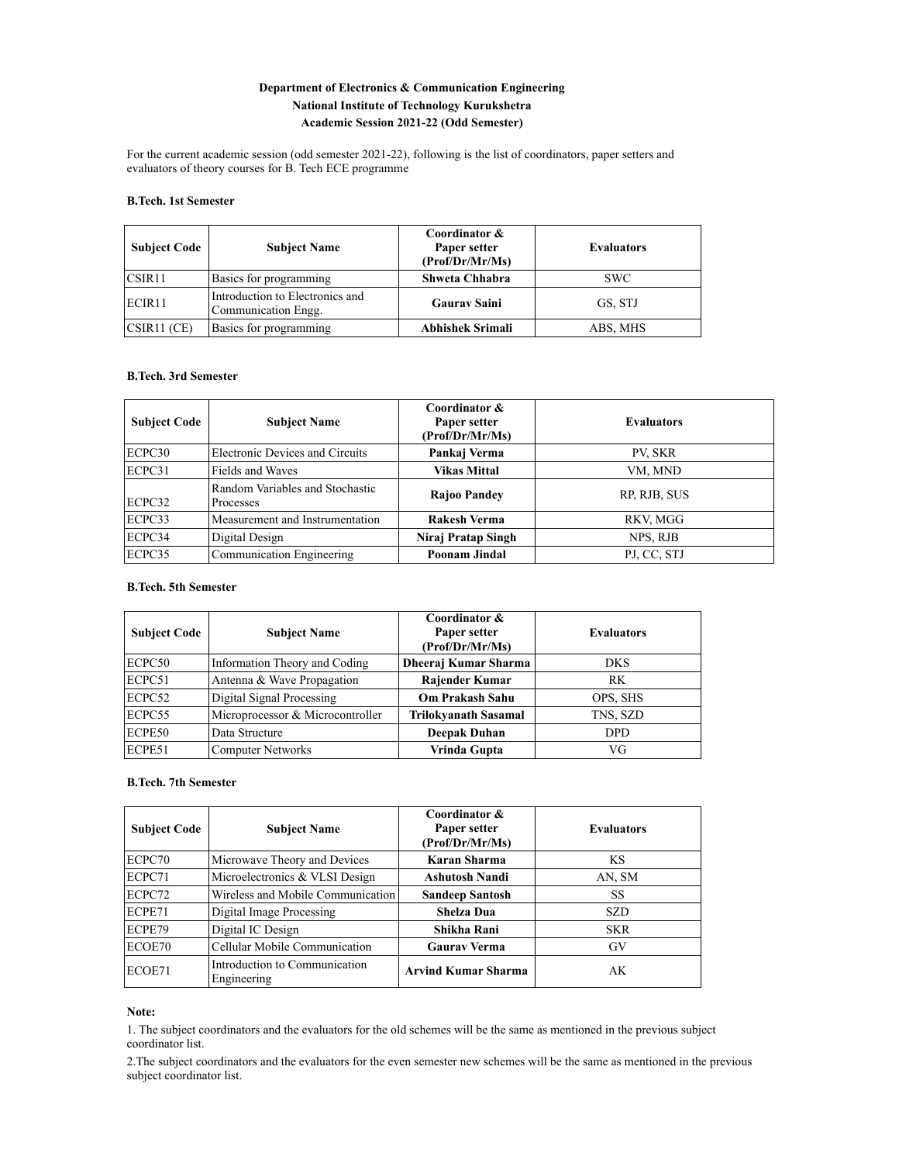## **Department of Electronics & Communication Engineering National Institute of Technology Kurukshetra Academic Session 2021-22 (Odd Semester)**

For the current academic session (odd semester 2021-22), following is the list of coordinators, paper setters and evaluators of theory courses for B. Tech ECE programme

#### **B.Tech. 1st Semester**

| <b>Subject Code</b> | <b>Subject Name</b>                                    | Coordinator &<br>Paper setter<br>(Prof/Dr/Mr/Ms) | <b>Evaluators</b> |
|---------------------|--------------------------------------------------------|--------------------------------------------------|-------------------|
| CSIR11              | Basics for programming                                 | Shweta Chhabra                                   | SWC.              |
| ECIR <sub>11</sub>  | Introduction to Electronics and<br>Communication Engg. | <b>Gaurav Saini</b>                              | GS, STJ           |
| CSIR11(CE)          | Basics for programming                                 | Abhishek Srimali                                 | ABS, MHS          |

#### **B.Tech. 3rd Semester**

| <b>Subject Code</b> | <b>Subject Name</b>                          | Coordinator &<br>Paper setter<br>(Prof/Dr/Mr/Ms) | <b>Evaluators</b> |
|---------------------|----------------------------------------------|--------------------------------------------------|-------------------|
| ECPC30              | Electronic Devices and Circuits              | Pankaj Verma                                     | PV, SKR           |
| ECPC31              | Fields and Waves                             | <b>Vikas Mittal</b>                              | VM, MND           |
| ECPC32              | Random Variables and Stochastic<br>Processes | Rajoo Pandey                                     | RP, RJB, SUS      |
| ECPC33              | Measurement and Instrumentation              | <b>Rakesh Verma</b>                              | RKV, MGG          |
| ECPC34              | Digital Design                               | Niraj Pratap Singh                               | NPS, RJB          |
| ECPC35              | Communication Engineering                    | Poonam Jindal                                    | PJ, CC, STJ       |

### **B.Tech. 5th Semester**

| <b>Subject Code</b> | <b>Subject Name</b>              | Coordinator &<br>Paper setter<br>(Prof/Dr/Mr/Ms) | <b>Evaluators</b> |
|---------------------|----------------------------------|--------------------------------------------------|-------------------|
| ECPC50              | Information Theory and Coding    | Dheeraj Kumar Sharma                             | <b>DKS</b>        |
| ECPC51              | Antenna & Wave Propagation       | <b>Rajender Kumar</b>                            | RK                |
| ECPC52              | Digital Signal Processing        | <b>Om Prakash Sahu</b>                           | OPS, SHS          |
| ECPC55              | Microprocessor & Microcontroller | <b>Trilokyanath Sasamal</b>                      | TNS, SZD          |
| ECPE50              | Data Structure                   | Deepak Duhan                                     | DPD.              |
| ECPE51              | <b>Computer Networks</b>         | Vrinda Gupta                                     | VG                |

## **B.Tech. 7th Semester**

| <b>Subject Code</b> | <b>Subject Name</b>                          | Coordinator &<br>Paper setter<br>(Prof/Dr/Mr/Ms) | <b>Evaluators</b> |
|---------------------|----------------------------------------------|--------------------------------------------------|-------------------|
| ECPC70              | Microwave Theory and Devices                 | Karan Sharma                                     | <b>KS</b>         |
| ECPC71              | Microelectronics & VLSI Design               | <b>Ashutosh Nandi</b>                            | AN, SM            |
| ECPC72              | Wireless and Mobile Communication            | <b>Sandeep Santosh</b>                           | <b>SS</b>         |
| ECPE71              | Digital Image Processing                     | <b>Shelza Dua</b>                                | <b>SZD</b>        |
| ECPE79              | Digital IC Design                            | Shikha Rani                                      | <b>SKR</b>        |
| ECOE70              | Cellular Mobile Communication                | <b>Gaurav Verma</b>                              | GV                |
| ECOE71              | Introduction to Communication<br>Engineering | <b>Arvind Kumar Sharma</b>                       | AK                |

### **Note:**

1. The subject coordinators and the evaluators for the old schemes will be the same as mentioned in the previous subject coordinator list.

2.The subject coordinators and the evaluators for the even semester new schemes will be the same as mentioned in the previous subject coordinator list.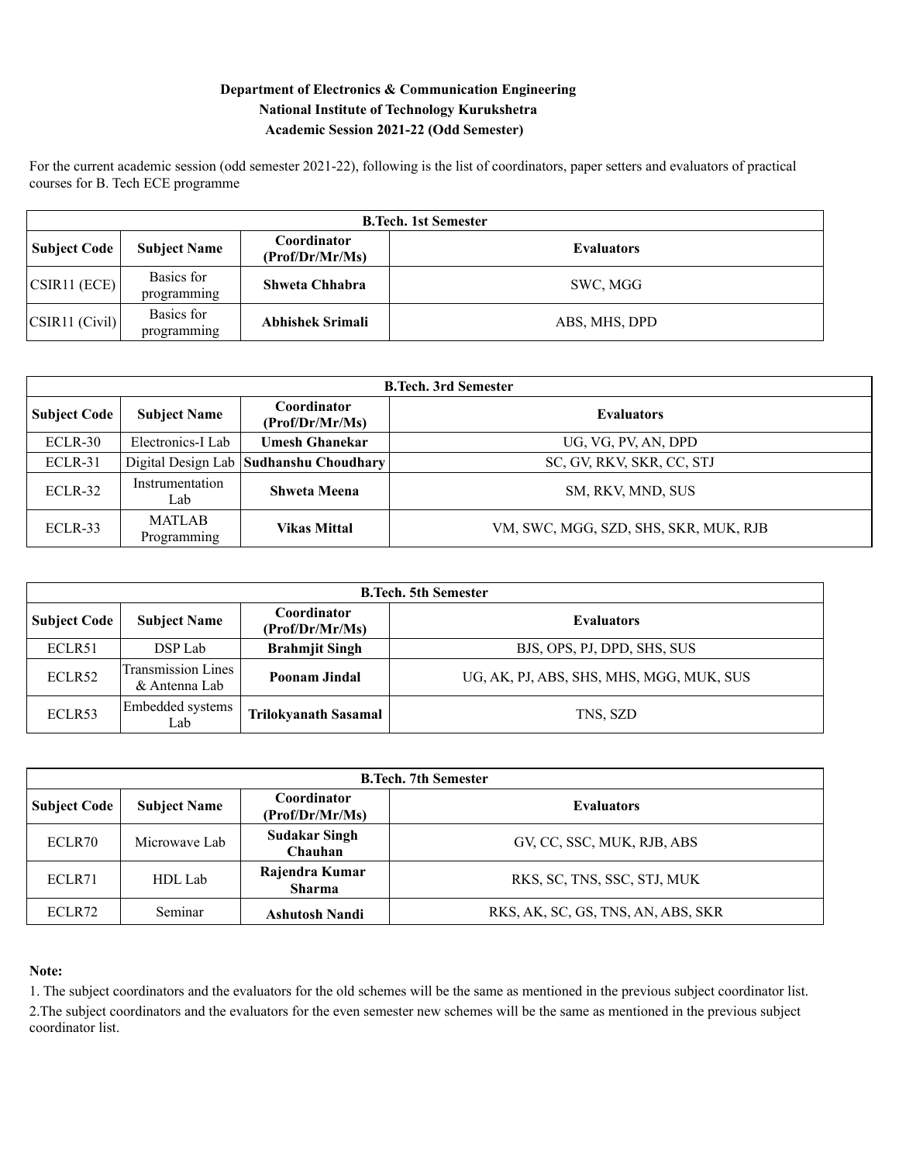# **Department of Electronics & Communication Engineering National Institute of Technology Kurukshetra Academic Session 2021-22 (Odd Semester)**

For the current academic session (odd semester 2021-22), following is the list of coordinators, paper setters and evaluators of practical courses for B. Tech ECE programme

| <b>B.Tech. 1st Semester</b> |                           |                                |                   |  |
|-----------------------------|---------------------------|--------------------------------|-------------------|--|
| Subject Code                | <b>Subject Name</b>       | Coordinator<br>(Prof/Dr/Mr/Ms) | <b>Evaluators</b> |  |
| CSIR11 (ECE)                | Basics for<br>programming | Shweta Chhabra                 | SWC, MGG          |  |
| CSIR11 (Civil)              | Basics for<br>programming | Abhishek Srimali               | ABS, MHS, DPD     |  |

| <b>B.Tech. 3rd Semester</b> |                              |                                        |                                       |  |
|-----------------------------|------------------------------|----------------------------------------|---------------------------------------|--|
| <b>Subject Code</b>         | <b>Subject Name</b>          | Coordinator<br>(Prof/Dr/Mr/Ms)         | <b>Evaluators</b>                     |  |
| ECLR-30                     | Electronics-I Lab            | <b>Umesh Ghanekar</b>                  | UG, VG, PV, AN, DPD                   |  |
| ECLR-31                     |                              | Digital Design Lab Sudhanshu Choudhary | SC, GV, RKV, SKR, CC, STJ             |  |
| ECLR-32                     | Instrumentation<br>Lab       | <b>Shweta Meena</b>                    | SM, RKV, MND, SUS                     |  |
| ECLR-33                     | <b>MATLAB</b><br>Programming | <b>Vikas Mittal</b>                    | VM, SWC, MGG, SZD, SHS, SKR, MUK, RJB |  |

| <b>B.Tech. 5th Semester</b> |                                     |                                                     |                                          |  |
|-----------------------------|-------------------------------------|-----------------------------------------------------|------------------------------------------|--|
| <b>Subject Code</b>         | <b>Subject Name</b>                 | Coordinator<br><b>Evaluators</b><br>(Prof/Dr/Mr/Ms) |                                          |  |
| ECLR51                      | DSP Lab                             | <b>Brahmjit Singh</b>                               | BJS, OPS, PJ, DPD, SHS, SUS              |  |
| ECLR52                      | Transmission Lines<br>& Antenna Lab | <b>Poonam Jindal</b>                                | UG, AK, PJ, ABS, SHS, MHS, MGG, MUK, SUS |  |
| ECLR53                      | Embedded systems<br>Lab             | <b>Trilokyanath Sasamal</b>                         | TNS, SZD                                 |  |

| <b>B.Tech. 7th Semester</b> |                     |                                 |                                    |  |
|-----------------------------|---------------------|---------------------------------|------------------------------------|--|
| <b>Subject Code</b>         | <b>Subject Name</b> | Coordinator<br>(Prof/Dr/Mr/Ms)  | <b>Evaluators</b>                  |  |
| ECLR70                      | Microwave Lab       | <b>Sudakar Singh</b><br>Chauhan | GV, CC, SSC, MUK, RJB, ABS         |  |
| ECLR71                      | HDL Lab             | Rajendra Kumar<br><b>Sharma</b> | RKS, SC, TNS, SSC, STJ, MUK        |  |
| ECLR72                      | Seminar             | <b>Ashutosh Nandi</b>           | RKS, AK, SC, GS, TNS, AN, ABS, SKR |  |

# **Note:**

1. The subject coordinators and the evaluators for the old schemes will be the same as mentioned in the previous subject coordinator list.

2.The subject coordinators and the evaluators for the even semester new schemes will be the same as mentioned in the previous subject coordinator list.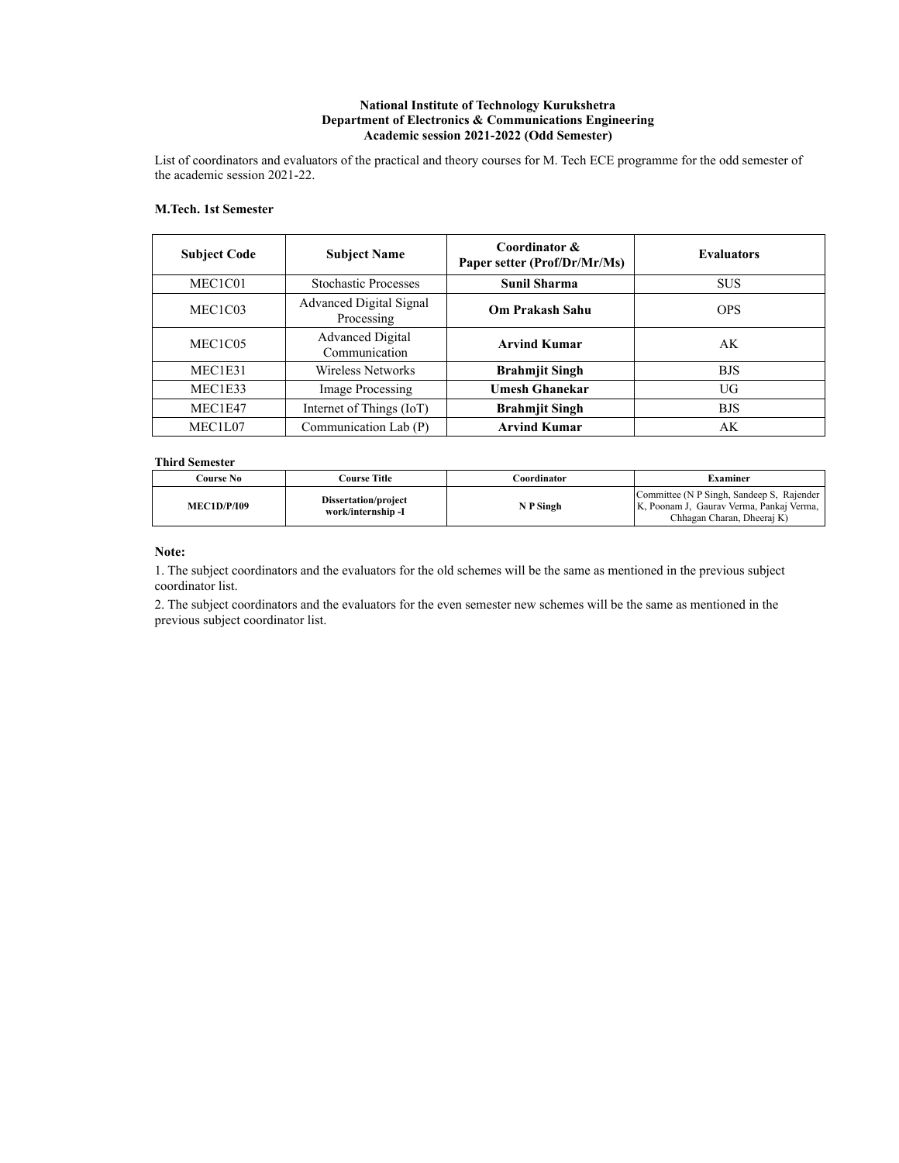### **National Institute of Technology Kurukshetra Department of Electronics & Communications Engineering Academic session 2021-2022 (Odd Semester)**

List of coordinators and evaluators of the practical and theory courses for M. Tech ECE programme for the odd semester of the academic session 2021-22.

### **M.Tech. 1st Semester**

| <b>Subject Code</b>              | <b>Subject Name</b>                      | Coordinator &<br>Paper setter (Prof/Dr/Mr/Ms) | <b>Evaluators</b> |
|----------------------------------|------------------------------------------|-----------------------------------------------|-------------------|
| MEC1C01                          | <b>Stochastic Processes</b>              | <b>Sunil Sharma</b>                           | <b>SUS</b>        |
| MEC1C03                          | Advanced Digital Signal<br>Processing    | Om Prakash Sahu                               | <b>OPS</b>        |
| MEC <sub>1</sub> C <sub>05</sub> | <b>Advanced Digital</b><br>Communication | <b>Arvind Kumar</b>                           | AK                |
| MEC1E31                          | Wireless Networks                        | <b>Brahmjit Singh</b>                         | <b>BJS</b>        |
| MEC1E33                          | Image Processing                         | <b>Umesh Ghanekar</b>                         | UG                |
| MEC1E47                          | Internet of Things (IoT)                 | <b>Brahmjit Singh</b>                         | <b>BJS</b>        |
| MEC1L07                          | Communication Lab (P)                    | <b>Arvind Kumar</b>                           | AK                |

### **Third Semester**

| Course No          | <b>Course Title</b>                       | <b>Coordinator</b> | Examiner                                                                                                              |  |
|--------------------|-------------------------------------------|--------------------|-----------------------------------------------------------------------------------------------------------------------|--|
| <b>MEC1D/P/I09</b> | Dissertation/project<br>work/internship-I | N P Singh          | Committee (N P Singh, Sandeep S, Rajender<br>K, Poonam J, Gaurav Verma, Pankaj Verma,  <br>Chhagan Charan, Dheeraj K) |  |

### **Note:**

1. The subject coordinators and the evaluators for the old schemes will be the same as mentioned in the previous subject coordinator list.

2. The subject coordinators and the evaluators for the even semester new schemes will be the same as mentioned in the previous subject coordinator list.